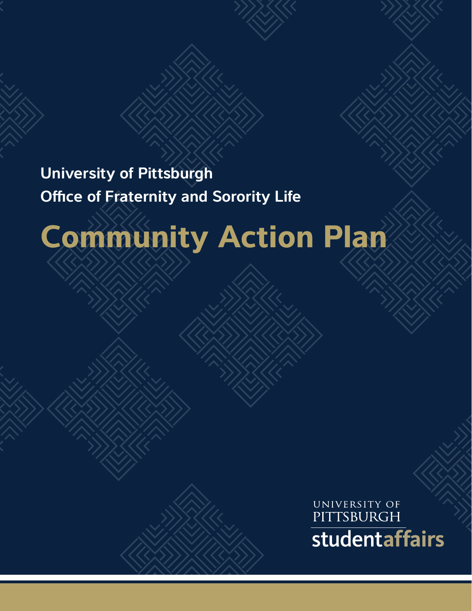## **University of Pittsburgh Office of Fraternity and Sorority Life**

# **Community Action Plan**

UNIVERSITY OF PITTSBURGH studentaffairs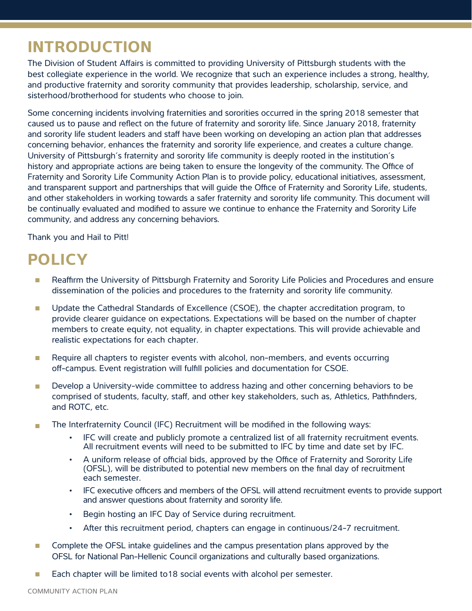## **INTRODUCTION**

The Division of Student Affairs is committed to providing University of Pittsburgh students with the best collegiate experience in the world. We recognize that such an experience includes a strong, healthy, and productive fraternity and sorority community that provides leadership, scholarship, service, and sisterhood/brotherhood for students who choose to join.

Some concerning incidents involving fraternities and sororities occurred in the spring 2018 semester that caused us to pause and reflect on the future of fraternity and sorority life. Since January 2018, fraternity and sorority life student leaders and staff have been working on developing an action plan that addresses concerning behavior, enhances the fraternity and sorority life experience, and creates a culture change. University of Pittsburgh's fraternity and sorority life community is deeply rooted in the institution's history and appropriate actions are being taken to ensure the longevity of the community. The Office of Fraternity and Sorority Life Community Action Plan is to provide policy, educational initiatives, assessment, and transparent support and partnerships that will guide the Office of Fraternity and Sorority Life, students, and other stakeholders in working towards a safer fraternity and sorority life community. This document will be continually evaluated and modified to assure we continue to enhance the Fraternity and Sorority Life community, and address any concerning behaviors.

Thank you and Hail to Pitt!

## **POLICY**

- Reaffirm the University of Pittsburgh Fraternity and Sorority Life Policies and Procedures and ensure П dissemination of the policies and procedures to the fraternity and sorority life community.
- Update the Cathedral Standards of Excellence (CSOE), the chapter accreditation program, to  $\overline{\phantom{a}}$ provide clearer guidance on expectations. Expectations will be based on the number of chapter members to create equity, not equality, in chapter expectations. This will provide achievable and realistic expectations for each chapter.
- Require all chapters to register events with alcohol, non-members, and events occurring П off-campus. Event registration will fulfill policies and documentation for CSOE.
- Develop a University-wide committee to address hazing and other concerning behaviors to be m. comprised of students, faculty, staff, and other key stakeholders, such as, Athletics, Pathfinders, and ROTC, etc.
- The Interfraternity Council (IFC) Recruitment will be modified in the following ways: m.
	- IFC will create and publicly promote a centralized list of all fraternity recruitment events. All recruitment events will need to be submitted to IFC by time and date set by IFC.
	- A uniform release of official bids, approved by the Office of Fraternity and Sorority Life (OFSL), will be distributed to potential new members on the final day of recruitment each semester.
	- IFC executive officers and members of the OFSL will attend recruitment events to provide support and answer questions about fraternity and sorority life.
	- Begin hosting an IFC Day of Service during recruitment.
	- After this recruitment period, chapters can engage in continuous/24-7 recruitment.
- $\mathcal{C}^{\mathcal{A}}$ Complete the OFSL intake guidelines and the campus presentation plans approved by the OFSL for National Pan-Hellenic Council organizations and culturally based organizations.
- Each chapter will be limited to18 social events with alcohol per semester.  $\mathcal{C}^{\mathcal{A}}$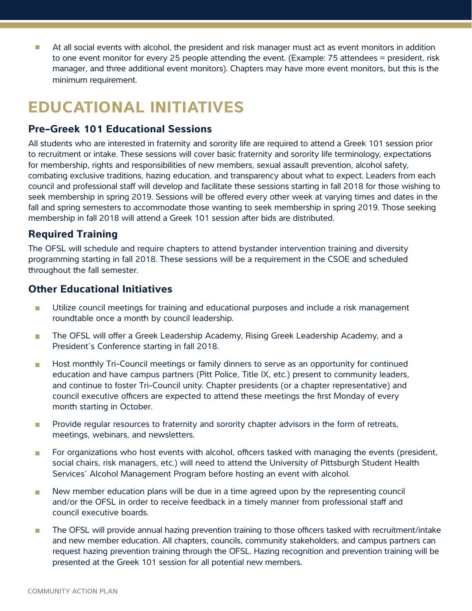At all social events with alcohol, the president and risk manager must act as event monitors in addition П to one event monitor for every 25 people attending the event. (Example: 75 attendees = president, risk manager, and three additional event monitors). Chapters may have more event monitors, but this is the minimum requirement.

## **EDUCATIONAL INITIATIVES**

#### **Pre-Greek 101 Educational Sessions**

All students who are interested in fraternity and sorority life are required to attend a Greek 101 session prior to recruitment or intake. These sessions will cover basic fraternity and sorority life terminology, expectations for membership, rights and responsibilities of new members, sexual assault prevention, alcohol safety, combating exclusive traditions, hazing education, and transparency about what to expect. Leaders from each council and professional staff will develop and facilitate these sessions starting in fall 2018 for those wishing to seek membership in spring 2019. Sessions will be offered every other week at varying times and dates in the fall and spring semesters to accommodate those wanting to seek membership in spring 2019. Those seeking membership in fall 2018 will attend a Greek 101 session after bids are distributed.

#### **Required Training**

The OFSL will schedule and require chapters to attend bystander intervention training and diversity programming starting in fall 2018. These sessions will be a requirement in the CSOE and scheduled throughout the fall semester.

#### **Other Educational Initiatives**

- Utilize council meetings for training and educational purposes and include a risk management  $\blacksquare$ roundtable once a month by council leadership.
- The OFSL will offer a Greek Leadership Academy, Rising Greek Leadership Academy, and a  $\mathcal{L}_{\mathcal{A}}$ President's Conference starting in fall 2018.
- Host monthly Tri-Council meetings or family dinners to serve as an opportunity for continued m. education and have campus partners (Pitt Police, Title IX, etc.) present to community leaders, and continue to foster Tri-Council unity. Chapter presidents (or a chapter representative) and council executive officers are expected to attend these meetings the first Monday of every month starting in October.
- Provide regular resources to fraternity and sorority chapter advisors in the form of retreats,  $\Box$ meetings, webinars, and newsletters.
- For organizations who host events with alcohol, officers tasked with managing the events (president, m. social chairs, risk managers, etc.) will need to attend the University of Pittsburgh Student Health Services' Alcohol Management Program before hosting an event with alcohol.
- New member education plans will be due in a time agreed upon by the representing council  $\Box$ and/or the OFSL in order to receive feedback in a timely manner from professional staff and council executive boards.
- The OFSL will provide annual hazing prevention training to those officers tasked with recruitment/intake  $\Box$ and new member education. All chapters, councils, community stakeholders, and campus partners can request hazing prevention training through the OFSL. Hazing recognition and prevention training will be presented at the Greek 101 session for all potential new members.